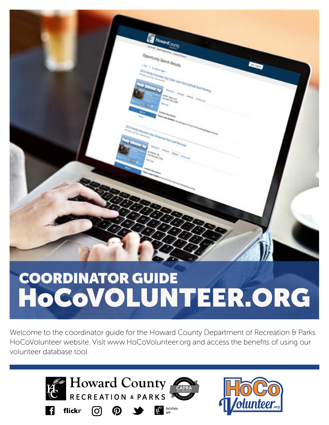

# **COORDINATOR GUIDE** HOCOVOLUNTEER.ORG

Welcome to the coordinator guide for the Howard County Department of Recreation & Parks HoCoVolunteer website. Visit www.HoCoVolunteer.org and access the benefits of using our volunteer database tool.

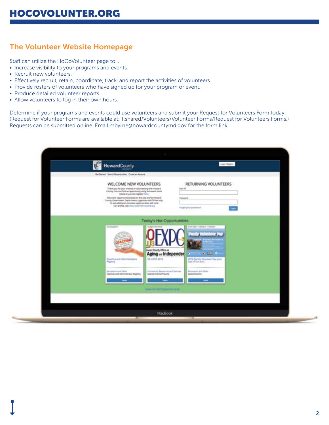#### The Volunteer Website Homepage

Staff can utilize the HoCoVolunteer page to...

- Increase visibility to your programs and events.
- Recruit new volunteers.
- Effectively recruit, retain, coordinate, track, and report the activities of volunteers.
- Provide rosters of volunteers who have signed up for your program or event.
- Produce detailed volunteer reports.
- Allow volunteers to log in their own hours.

Determine if your programs and events could use volunteers and submit your Request for Volunteers Form today! (Request for Volunteer Forms are available at: T:shared/Volunteers/Volunteer Forms/Request for Volunteers Forms.) Requests can be submitted online. Email mbyrne@howardcountymd.gov for the form link.

| HowardCounty                                                                                                                                                                                                                                                                                                                                                                                                        | LightWagon:                                                                                                                                          |  |
|---------------------------------------------------------------------------------------------------------------------------------------------------------------------------------------------------------------------------------------------------------------------------------------------------------------------------------------------------------------------------------------------------------------------|------------------------------------------------------------------------------------------------------------------------------------------------------|--|
| Get Sarted Barch Opportunities Create an Associate                                                                                                                                                                                                                                                                                                                                                                  |                                                                                                                                                      |  |
| WELCOME NEW VOLUNTEERS<br>Thank you for your interest or valuraseing with insuent<br>County You can find an opportunity using the search texts<br>below or you can register here.<br>Waterstein supportunities folled on this also are for Howard<br>Courty Government Departments, Agencies and Offices only.<br>To see additional informer opportunities with local<br>non-profits, visit www.columnerficword.org | RETURNING VOLUNTEERS<br>time till<br>Patterers<br><b>Transport proud purchase FOR</b><br><b>Sept</b>                                                 |  |
| <b>Today's Hot Opportunities</b><br>(in-damp have)<br><b>Manufacture</b><br>Aging <sub>and</sub> Independent<br>50-D/PO 3016<br>Classified and Administrators<br><b>Bughtry</b><br><b>Bacrossine and Parks</b><br>Comments freezeries and Sendors<br>Eseries and Administrator Registry<br>Special Enerty/Projects<br><b>View All Hot Cassomantes</b>                                                               | Ask 2004 Tolerand Freezers<br>$9.10 - 5$<br>×.<br>2016 Family Volunteer Say your<br>stey of Nex and<br><b>Recreation and Ferlo</b><br>Special Events |  |
|                                                                                                                                                                                                                                                                                                                                                                                                                     |                                                                                                                                                      |  |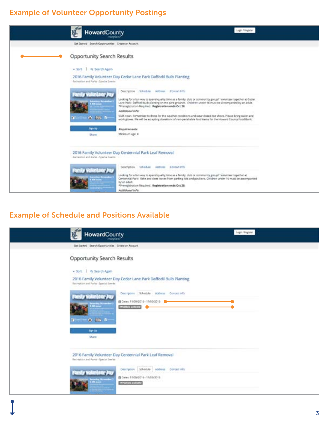#### Example of Volunteer Opportunity Postings



#### Example of Schedule and Positions Available

| HowardCounty                                                        |                                                                                                                | <b>Legin / Register</b> |
|---------------------------------------------------------------------|----------------------------------------------------------------------------------------------------------------|-------------------------|
| Get Started Search Opportunities Create an Account.                 |                                                                                                                |                         |
| Opportunity Search Results                                          |                                                                                                                |                         |
| + Sort.   Q. Search Again                                           |                                                                                                                |                         |
| Recreation and Parks - Special Events                               | 2016 Family Volunteer Day Cedar Lane Park Daffodil Bulb Planting                                               |                         |
| Family Volunteer Pas<br><b>Hypera</b><br>$ \bullet$ $\mu$ $\bullet$ | Description Schedule Address Consectings<br>图 Dates: 11/05/2015 - 11/05/2016<br><b><i>Division metabol</i></b> |                         |
| Sign List<br>Share                                                  |                                                                                                                |                         |
| Recreation and Parks - Special Events                               | 2016 Family Volunteer Day Centennial Park Leaf Removal                                                         |                         |
| Family Volunteer Jo<br><b>Testaning Nysombo</b><br>9 Mil. avant     | Description Schedule Address Consistints<br>B Dates: 11/05/2016 - 11/05/2016<br><b>Station manager</b>         |                         |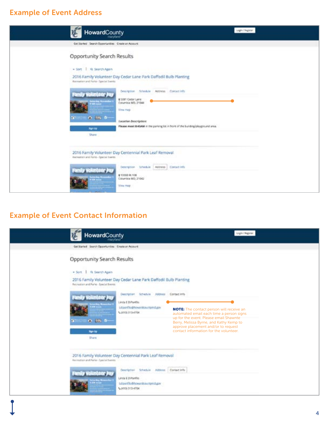### Example of Event Address

| HowardCounty                                                                                     | Login / Register                                                                                                                                                                                           |
|--------------------------------------------------------------------------------------------------|------------------------------------------------------------------------------------------------------------------------------------------------------------------------------------------------------------|
| Get Started : Search Opportunities : Create an Account                                           |                                                                                                                                                                                                            |
| Opportunity Search Results                                                                       |                                                                                                                                                                                                            |
| + Sort   Q. Search Again                                                                         |                                                                                                                                                                                                            |
| Assession and Parks- Special Events                                                              | 2016 Family Volunteer Day Cedar Lane Park Daffodil Buib Planting                                                                                                                                           |
| miy Voluntoor.<br><b>Total day, Newmaker</b><br>$0.025 - 0.01$<br>$-10 - 10$<br>Sightle<br>Share | Description Schedule Address Contact info<br>@SOBT Cedar Lane<br>Columbia MD, 21044<br>View map<br>Lecetion Description:<br>Please meet BASAM in the parking for in front of the building/playground area. |
| Recreation and Parks - Special Sterets<br>Family Volunieer Plu<br><b>Secretary Normalis</b>      | 2016 Family Volunteer Day Centennial Park Leaf Removal<br><b>CONTRACTOR</b><br>Description Interdule Address   Contact Info<br>@10000 Rt 108<br>Columbia MD, 21842                                         |
|                                                                                                  | View map                                                                                                                                                                                                   |

# Example of Event Contact Information

| HowardCounty                                                                                                                                                         | Light Region                                                                                                                                                                                                                                                                                                                                                                                                                                            |
|----------------------------------------------------------------------------------------------------------------------------------------------------------------------|---------------------------------------------------------------------------------------------------------------------------------------------------------------------------------------------------------------------------------------------------------------------------------------------------------------------------------------------------------------------------------------------------------------------------------------------------------|
| Get Starfed Search Opportunities Create an Account                                                                                                                   |                                                                                                                                                                                                                                                                                                                                                                                                                                                         |
| Opportunity Search Results<br>. Sort.   Q Search Again<br>Recreation and Parks - Special Bremis.<br>rankry November<br>$a = -0$ is $b =$<br><b>High Lip</b><br>Share | 2016 Family Volunteer Day Cedar Lane Park Daffodil Bulb Planting<br>Description Schedule Address Contact info<br>Linda E DiPanflic<br>Lourilo@howroboutbmd.gov<br><b>NOTE:</b> The contact person will receive an<br>N.1410) 313-4704<br>automated email each time a person signs<br>up for the event. Please email Shawnte<br>Berry, Melissa Byrne, and Kathy Kemp to<br>approve placement and/or to request<br>contact information for the volunteer. |
| Recreation and Parks - Special Everes                                                                                                                                | 2016 Family Volunteer Day Centennial Park Leaf Removal<br>Descriptor Schedule Address Contact Info<br>Linda E DiPanfile<br>Ldparffo@howardcountyrid.gav<br>5,010(113-4704)                                                                                                                                                                                                                                                                              |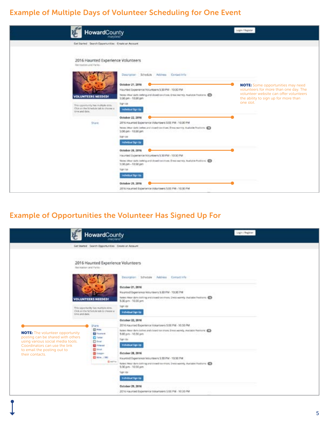#### Example of Multiple Days of Volunteer Scheduling for One Event



#### Example of Opportunities the Volunteer Has Signed Up For

|                                                                                                                                                                                  | HowardCounty                                                                                                               |                                                                                                                                                                                                                                | Jugo / Region: |
|----------------------------------------------------------------------------------------------------------------------------------------------------------------------------------|----------------------------------------------------------------------------------------------------------------------------|--------------------------------------------------------------------------------------------------------------------------------------------------------------------------------------------------------------------------------|----------------|
|                                                                                                                                                                                  | Get Started Search Opportunities Create an Account                                                                         |                                                                                                                                                                                                                                |                |
|                                                                                                                                                                                  | 2016 Haunted Experience Volunteers<br>Hechtelsh and Parks-                                                                 |                                                                                                                                                                                                                                |                |
|                                                                                                                                                                                  |                                                                                                                            | Description Schedule Address Contact info                                                                                                                                                                                      |                |
|                                                                                                                                                                                  | <b>VOLUNTEERS NEEDED!</b>                                                                                                  | October 21, 2016<br>Haunted Experience Volunteers 5:30 FM - 10:30 PM<br>Aptest thear dark clotting and closed to estimate. Dreto warmly. Austatox Positions: CD<br>5:30 pm - 10:30 pm                                          |                |
| time and date.                                                                                                                                                                   | This appartunity has realityle stots.<br>Click on the Schedule talk to choose a                                            | Sign Up:<br>Individual Sign Up                                                                                                                                                                                                 |                |
| <b>NOTE:</b> The volunteer opportunity<br>posting can be shared with others<br>using various social media tools.<br>Coordinators can use the link<br>to email the posting out to | <b>Share</b><br><b>CD</b> Press<br>El famigos<br><b>D</b> false<br><b>Direct</b><br><b>CE</b> Performed<br><b>District</b> | October 22, 2016<br>2016 Haunted Experience Volunteers 5:00 PM - 10:30 PM<br>Nation: Mean dark clathes and closed tox shoes. Ereca werely, Avelable Positions: 423<br>5:00 pm - 10:30 pm<br>Tages Libr<br>Individual Tight Up: |                |
| their contacts.                                                                                                                                                                  | <b>Ell</b> Gregory<br>ED 1874 - 1780<br><b>G-</b> AMPTON                                                                   | October 28, 2016<br>Haunted Experience Voicebrers 5:30 PM - 10:30 PM<br>Anterc Wear dark circling and countries shoes. Dress werely, Auctains Positions. CD<br>5:30 pm - 10:30 pm<br><b>Tiger Up</b><br>Individual Tige Up     |                |
|                                                                                                                                                                                  |                                                                                                                            | October 29, 2016<br>2016 Haunted Experience Volunteers 5:00 PM - 10:30 PM                                                                                                                                                      |                |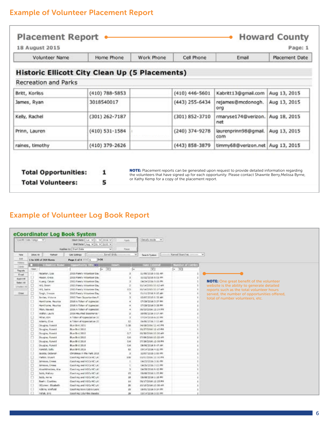### Example of Volunteer Placement Report

r

|                                                       |                  | Work Phone | Cell Phone       | Email                       | Placement Date |
|-------------------------------------------------------|------------------|------------|------------------|-----------------------------|----------------|
| <b>Historic Ellicott City Clean Up (5 Placements)</b> |                  |            |                  |                             |                |
| <b>Recreation and Parks</b>                           |                  |            |                  |                             |                |
| Britt, Korliss                                        | $(410)$ 788-5853 |            | $(410)$ 446-5601 | Kabritt13@gmail.com         | Aug 13, 2015   |
| James, Ryan                                           | 3018540017       |            | (443) 255-6434   | rejames@mcdonogh.<br>org    | Aug 13, 2015   |
| Kelly, Rachel                                         | $(301)$ 262-7187 |            | (301) 852-3710   | rmaryse174@verizon.<br>net  | Aug 18, 2015   |
| Prinn, Lauren                                         | $(410)$ 531-1584 |            | (240) 374-9278   | laurenprinn98@gmail.<br>com | Aug 13, 2015   |
| raines, timothy                                       | (410) 379-2626   |            | (443) 858-3879   | timmy68@verizon.net         | Aug 13, 2015   |

# Example of Volunteer Log Book Report

| fidentific Elabe Stange V |                |                                      | Start Date:   Jun.   w   1   W   2014   w<br>BH Date: Aug 4 31 4 3100 4<br>Auglies III   Fiert Cute<br>$\overline{\phantom{a}}$                                                                                                                               | <b>Aarlo</b><br>Raise | Details resole  v                        |                            |                                                 |
|---------------------------|----------------|--------------------------------------|---------------------------------------------------------------------------------------------------------------------------------------------------------------------------------------------------------------------------------------------------------------|-----------------------|------------------------------------------|----------------------------|-------------------------------------------------|
| tips                      | <b>Ince le</b> | <b>Holtogen</b>                      | <b>Singl Gride</b><br>GRESORICA                                                                                                                                                                                                                               | $\sim$                | Sewith Tuskers                           | - Named Searches common. V |                                                 |
| <b>Hotel</b>              |                | 1 hs 100 of 304 Bonns                | 5.51<br>Page 1 of 4 Hill 1                                                                                                                                                                                                                                    |                       |                                          |                            |                                                 |
| TRAVV                     | m              | <b>CONTRACTOR</b>                    | opportunity little 31<br><b>Contract of the Contract of the Contract of the Contract of the Contract of the Contract of the Contract of the Contract of the Contract of the Contract of the Contract of the Contract of the Contract of the Contract of t</b> |                       | <b>TIME EXCOVER</b>                      | <b>Number of Listney</b>   |                                                 |
| <b>Tienes</b>             | <b>Tind</b>    |                                      | $ v$                                                                                                                                                                                                                                                          |                       | $\mathbf{v}$                             | $ -$                       |                                                 |
| <b>Tagoda:</b>            |                | Retarton, Lisa                       |                                                                                                                                                                                                                                                               |                       |                                          |                            |                                                 |
| <b>Dougli</b>             |                |                                      | 2015 Pami's Volunteer Eav                                                                                                                                                                                                                                     |                       | 11/05/2025 9:51 AM                       |                            |                                                 |
| Agene                     |                | Hasan, Crain<br><b>Kuseg, Calver</b> | 2003 Ford's Volunteer Co.<br>2015 Family Voluntarie Day                                                                                                                                                                                                       |                       | 11/22/2018 5:01 PM<br>04/24/2036 9:06 PM |                            | <b>NOTE:</b> One great benefit of the volunteer |
| Salart AB                 |                | HL Sunn                              | 2015 Feedy Window Day                                                                                                                                                                                                                                         | ÷                     | 15/14/2015 13:12 APE                     |                            | website is the ability to generate detailed     |
| Driveled AD               |                | 193, Justin                          | 2003 Family Volunteer East                                                                                                                                                                                                                                    | 2.5                   | <b>BUSADIES 30-37 AM</b>                 |                            |                                                 |
| <b>Glose!</b>             |                | Smith, Steelake                      | 2015 Family Wilselam Cay                                                                                                                                                                                                                                      | <b>h</b>              | 01/11/2026 9:15 AM                       |                            | reports such as the total volunteer hours       |
|                           |                | Inches, Victoria                     | 2001 Tears Occurrian Say F.                                                                                                                                                                                                                                   |                       | 12/07/2015 0:32 AM                       |                            | served, the number of opportunities offered,    |
|                           | Ū              | Hantfisme, Nacilica                  | 2005 A Token of Aconeciat:                                                                                                                                                                                                                                    | ٠                     | <b>CR/29/2014 D:37 PM</b>                |                            | total of number volunteers, etc.                |
|                           | O              | Hantham, Naurice                     | 2008 A Token of Appreciati                                                                                                                                                                                                                                    | $\mathbf{z}$          | 03/29/2014 1-36 PH                       |                            |                                                 |
|                           | $\Box$         | High, Navard                         | 2006 A Token of Appreciat                                                                                                                                                                                                                                     |                       | 38/02/2006 13:14 PM                      |                            |                                                 |
|                           | α              | Walter, Laura                        | 2036 Hauffed Ensurierus 1                                                                                                                                                                                                                                     | <b>D</b>              | saras/2036 sild? AR                      |                            |                                                 |
|                           | α              | Nilan, silm.                         | A Token of Appreciation 31.                                                                                                                                                                                                                                   | 3                     | DIVENTIOUS 4/120 PM                      |                            |                                                 |
|                           | ö              | Atlanta, Cive                        | A Triber of Appreciation 20                                                                                                                                                                                                                                   | 12                    | 06/06/2016 7:53 AM                       |                            |                                                 |
|                           | o              | <b>Ocugins</b> Romein                | But Brd 2010                                                                                                                                                                                                                                                  | 1.98                  | 14/08/2004 12:42 PH                      |                            |                                                 |
|                           | o              | Douglas, Romeld                      | Bu+ Bi-1 3011                                                                                                                                                                                                                                                 | ×                     | 05/27/2006 13:43 PM                      |                            |                                                 |
|                           | ۵              | Douglas, Ronald                      | Bize Biril 2018                                                                                                                                                                                                                                               | 0.7                   | MA 30-12 385/20/2012                     |                            |                                                 |
|                           |                | Douglas, Ronald                      | Dies Bru 2011                                                                                                                                                                                                                                                 | 0.6                   | ST/09/2008 10:32 AM                      |                            |                                                 |
|                           | IJ             | Occupias, Romald                     | Bize Bird 2014                                                                                                                                                                                                                                                | 0.8                   | 37/36/2006 12:08 PH                      |                            |                                                 |
|                           | O              | Douglas, Asnald                      | Blue Bird 3515                                                                                                                                                                                                                                                | 0.6                   | DB/DE/2016 9-47 AM                       |                            |                                                 |
|                           | o              | Kandal, Sally                        | Blue 846,2016                                                                                                                                                                                                                                                 | 52                    | 08/14/2016 4:12 PM                       |                            |                                                 |
|                           | O              | Jacobs, Deborah.                     | Christmas in the right 2015                                                                                                                                                                                                                                   | э                     | 12/07/2015 1:09 PM                       |                            |                                                 |
|                           | α              | FWERE, SILMIE                        | Execting and AGCs HC LKI                                                                                                                                                                                                                                      | 100                   | 10/01/2006 12:30 PH                      |                            |                                                 |
|                           | O              | Johnson, Crease                      | Conching and AGCs HC LAT                                                                                                                                                                                                                                      |                       | 04/23/2014 3:36 PM                       |                            |                                                 |
|                           | o              | <b>ENVIANAL E</b> Manual             | Camifring and ACCs HC LAT                                                                                                                                                                                                                                     |                       | 04/26/2016 7:03 PM                       |                            |                                                 |
|                           | o              | Englishmiam, Ela.                    | Conclusion and AGCs HC LAT                                                                                                                                                                                                                                    | $\mathbb{I}$          | 04/39/3016 8:42 091                      |                            |                                                 |
|                           | c              | <b>Milli, Mallore</b>                | Contring and AGCs NC LET                                                                                                                                                                                                                                      | z5                    | 08/08/2014 1:05 PM                       |                            |                                                 |
|                           | о              | Julio, Avrile                        | Coasting and AGCL HC LIC                                                                                                                                                                                                                                      | 38                    | PR 34 2010/00/00                         |                            |                                                 |
|                           | Ð              | Seehn, Courtines                     | Coaching and AGCs HC LAY                                                                                                                                                                                                                                      | \$6                   | 05/17/2006 12:15 PM                      |                            |                                                 |
|                           | $\square$      | OContest, Blashelly                  | Coastring and AGCs HC LIC                                                                                                                                                                                                                                     | 30                    | 80/00/2006 10:38 AM                      |                            |                                                 |
|                           | $\Box$         | Adelma winfleld                      | Casthing Boys Cobra Lacre                                                                                                                                                                                                                                     | 25                    | 08/03/2014 9:34 PM                       |                            |                                                 |
|                           | $\mathbb{Z}^n$ | <b>INDA, 814</b>                     | Coolfring Columbia Baselle                                                                                                                                                                                                                                    | 28                    | 03/14/2018 3:00 PM                       |                            |                                                 |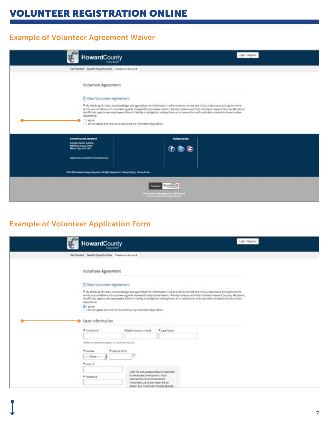# VOLUNTEER REGISTRATION ONLINE

### Example of Volunteer Agreement Waiver

| HowardCounty<br>manufand                                                                                                                                       | Listin / Register                                                                                                                                                                                                                                                                                                                                                                                                         |
|----------------------------------------------------------------------------------------------------------------------------------------------------------------|---------------------------------------------------------------------------------------------------------------------------------------------------------------------------------------------------------------------------------------------------------------------------------------------------------------------------------------------------------------------------------------------------------------------------|
| Cet Storted Search Opportunities Create on Account                                                                                                             |                                                                                                                                                                                                                                                                                                                                                                                                                           |
| Volunteer Agreement                                                                                                                                            |                                                                                                                                                                                                                                                                                                                                                                                                                           |
| C View Volunceer Agreement                                                                                                                                     |                                                                                                                                                                                                                                                                                                                                                                                                                           |
| experience.<br>$C1$ agree<br>[1] I do not agree and wish to docentinue my Volunteer Application:                                                               | * By checking this box, I acknowledge and agree that the information I will provide is correct and I fully understand and agree to the<br>termi and conditions of volunteering with Howard County Government, i hereby release and hold harmless Howard County, Maryland,<br>its efficials, agents and employees from all fability or obligation artaing from, or in connection with, activities related to the volunteer |
| <b>Howard Exumy, Maryland</b><br>George Howard Insiding<br><b>MOD CIN/ENNING DIRE</b><br><b>Hinost City, MILZ1941</b><br>Department and Office Phone Directory | Fellow Us Cn                                                                                                                                                                                                                                                                                                                                                                                                              |
| 3014 AD Howard County, Naryland, AT Rights Reserved   Philary Policy   Terms of Lisa                                                                           |                                                                                                                                                                                                                                                                                                                                                                                                                           |
|                                                                                                                                                                | White the Wallace and Schools                                                                                                                                                                                                                                                                                                                                                                                             |

### Example of Volunteer Application Form

| HowardCounty<br><b>mavulared</b>                                                                                                                |                                                                                                                                                                           |                                                                                                                                                                                                                                                                                                                                                                                                                           | Light Filippine |
|-------------------------------------------------------------------------------------------------------------------------------------------------|---------------------------------------------------------------------------------------------------------------------------------------------------------------------------|---------------------------------------------------------------------------------------------------------------------------------------------------------------------------------------------------------------------------------------------------------------------------------------------------------------------------------------------------------------------------------------------------------------------------|-----------------|
| Get Started Search Opportunities Create an Account                                                                                              |                                                                                                                                                                           |                                                                                                                                                                                                                                                                                                                                                                                                                           |                 |
| Volunteer Agreement                                                                                                                             |                                                                                                                                                                           |                                                                                                                                                                                                                                                                                                                                                                                                                           |                 |
| C View Volunteer Agreement<br>experience.<br>O lagree.<br>C I do not agree and with to discontinue my Volunteer Application<br>User Information |                                                                                                                                                                           | * By checking this box, I acknowledge and agree that the information I will provide is connect and I fully understand and agree to the<br>terms and conditions of volunteering with Howard County Government. I hareby release and hold harmless Howard County, Maryland,<br>its officials, agerm and employees from all fiability or obligation arising from, or in connection with, activities related to the voluntere |                 |
| # First Name                                                                                                                                    | Middle Name or initial                                                                                                                                                    | * Last Name:                                                                                                                                                                                                                                                                                                                                                                                                              |                 |
|                                                                                                                                                 |                                                                                                                                                                           |                                                                                                                                                                                                                                                                                                                                                                                                                           |                 |
| Please city name as if a speech on banar lacturity cland.<br>* Gander<br><sup>*</sup> Date of Sirth<br>$-$ None -<br>* User (O)<br>* Fassword   | User ID and password are required<br>to re-access the system. Your<br>usemame can include most<br>characters, and can even be an.<br>email, but it cannot include spaces. |                                                                                                                                                                                                                                                                                                                                                                                                                           |                 |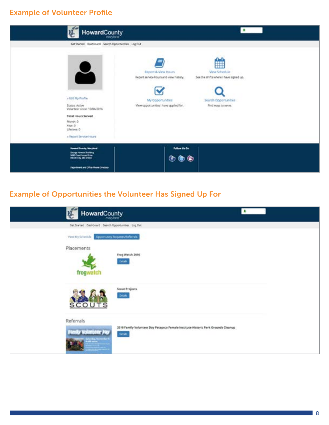### Example of Volunteer Profile

| HowardCounty                                                                                                                                                                                                                                  | $\mathbf{r}$                                                                                                                                                                                                                         |
|-----------------------------------------------------------------------------------------------------------------------------------------------------------------------------------------------------------------------------------------------|--------------------------------------------------------------------------------------------------------------------------------------------------------------------------------------------------------------------------------------|
| GetStarted Dashboard Search Opportunities Log Cult.<br>$\overline{\mathcal{L}}$<br>» Edit My Profile<br>Status: Active<br>Volunteer since: 10/04/2016<br>Total Hours Served<br>Month: D<br>Visar: D<br>Lifetime: 0<br>a Report Service Hours' | View Schedule<br>Report & View Hours<br>Report service hours and waw history.<br>See the shifts where I have signed up.<br>Search Opportunities<br>My Opportunities<br>View opportunities I have applied for.<br>Find ways to serve. |
| <b>Newark County, Maryland</b><br><b>Sever House Autors</b><br>H& Environmental<br>Department and Office Phone Cirectory                                                                                                                      | Follow Us On<br>0 0 0                                                                                                                                                                                                                |

# Example of Opportunities the Volunteer Has Signed Up For

| HowardCounty                                           |                                                                                               | л |
|--------------------------------------------------------|-----------------------------------------------------------------------------------------------|---|
|                                                        | Get Started Dashboard Search Opportunities Log Out                                            |   |
|                                                        | View My Schedule Dipportunity Requests the Wrats                                              |   |
| Placements<br>frogwatch                                | Freg Watch 2016<br><b>Dirtails</b>                                                            |   |
| <b>SCOUTS</b>                                          | Scout Projects<br>Doual                                                                       |   |
| Referrals<br><b><i><u>Astrodas</u></i></b> Reservation | 2016 Family Volunteer Day Patapsco Female Institute Historic Park Grounds Cleanup<br>Details. |   |